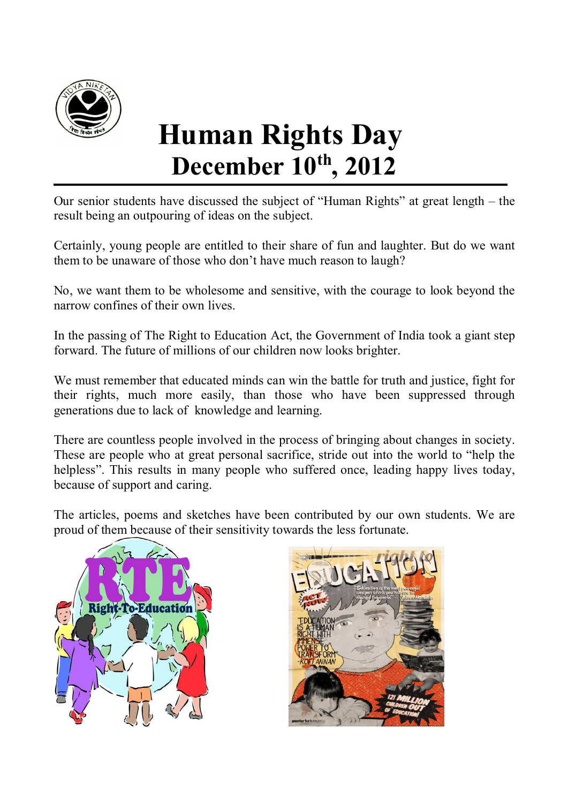

# **Human Rights Day December 10th, 2012**

Our senior students have discussed the subject of "Human Rights" at great length – the result being an outpouring of ideas on the subject.

Certainly, young people are entitled to their share of fun and laughter. But do we want them to be unaware of those who don't have much reason to laugh?

No, we want them to be wholesome and sensitive, with the courage to look beyond the narrow confines of their own lives.

In the passing of The Right to Education Act, the Government of India took a giant step forward. The future of millions of our children now looks brighter.

We must remember that educated minds can win the battle for truth and justice, fight for their rights, much more easily, than those who have been suppressed through generations due to lack of knowledge and learning.

There are countless people involved in the process of bringing about changes in society. These are people who at great personal sacrifice, stride out into the world to "help the helpless". This results in many people who suffered once, leading happy lives today, because of support and caring.

The articles, poems and sketches have been contributed by our own students. We are proud of them because of their sensitivity towards the less fortunate.



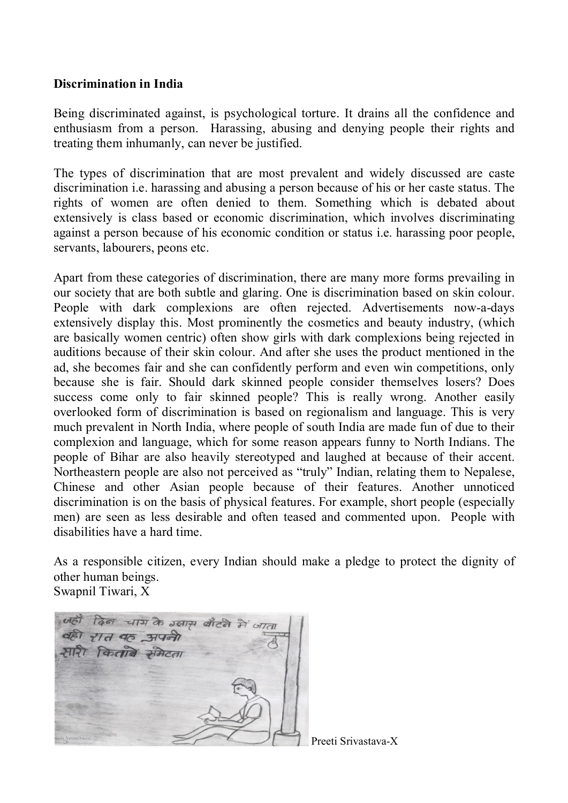### **Discrimination in India**

Being discriminated against, is psychological torture. It drains all the confidence and enthusiasm from a person. Harassing, abusing and denying people their rights and treating them inhumanly, can never be justified.

The types of discrimination that are most prevalent and widely discussed are caste discrimination i.e. harassing and abusing a person because of his or her caste status. The rights of women are often denied to them. Something which is debated about extensively is class based or economic discrimination, which involves discriminating against a person because of his economic condition or status i.e. harassing poor people, servants, labourers, peons etc.

Apart from these categories of discrimination, there are many more forms prevailing in our society that are both subtle and glaring. One is discrimination based on skin colour. People with dark complexions are often rejected. Advertisements now-a-days extensively display this. Most prominently the cosmetics and beauty industry, (which are basically women centric) often show girls with dark complexions being rejected in auditions because of their skin colour. And after she uses the product mentioned in the ad, she becomes fair and she can confidently perform and even win competitions, only because she is fair. Should dark skinned people consider themselves losers? Does success come only to fair skinned people? This is really wrong. Another easily overlooked form of discrimination is based on regionalism and language. This is very much prevalent in North India, where people of south India are made fun of due to their complexion and language, which for some reason appears funny to North Indians. The people of Bihar are also heavily stereotyped and laughed at because of their accent. Northeastern people are also not perceived as "truly" Indian, relating them to Nepalese, Chinese and other Asian people because of their features. Another unnoticed discrimination is on the basis of physical features. For example, short people (especially men) are seen as less desirable and often teased and commented upon. People with disabilities have a hard time.

As a responsible citizen, every Indian should make a pledge to protect the dignity of other human beings.

Swapnil Tiwari, X



Preeti Srivastava-X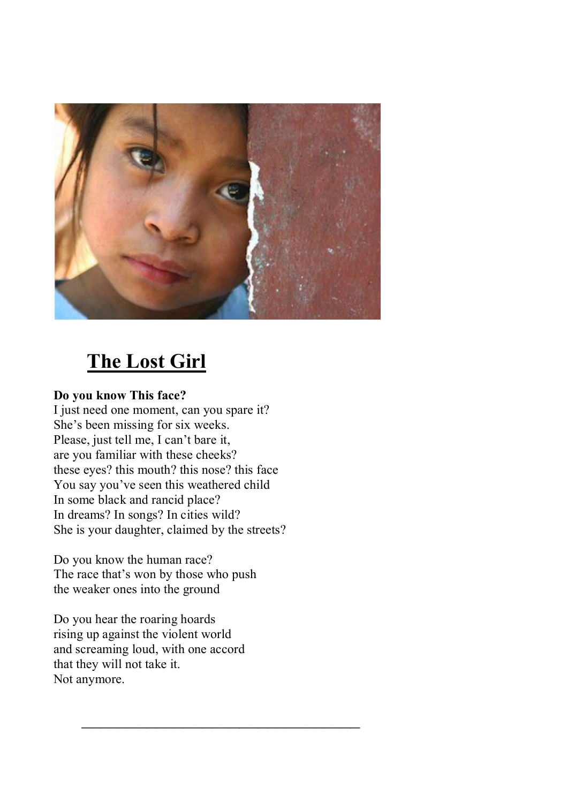

# **The Lost Girl**

## **Do you know This face?**

I just need one moment, can you spare it? She's been missing for six weeks. Please, just tell me, I can't bare it, are you familiar with these cheeks? these eyes? this mouth? this nose? this face You say you've seen this weathered child In some black and rancid place? In dreams? In songs? In cities wild? She is your daughter, claimed by the streets?

Do you know the human race? The race that's won by those who push the weaker ones into the ground

Do you hear the roaring hoards rising up against the violent world and screaming loud, with one accord that they will not take it. Not anymore.

 $\mathcal{L}=\frac{1}{2}$  , where  $\mathcal{L}=\frac{1}{2}$  , where  $\mathcal{L}=\frac{1}{2}$  , where  $\mathcal{L}=\frac{1}{2}$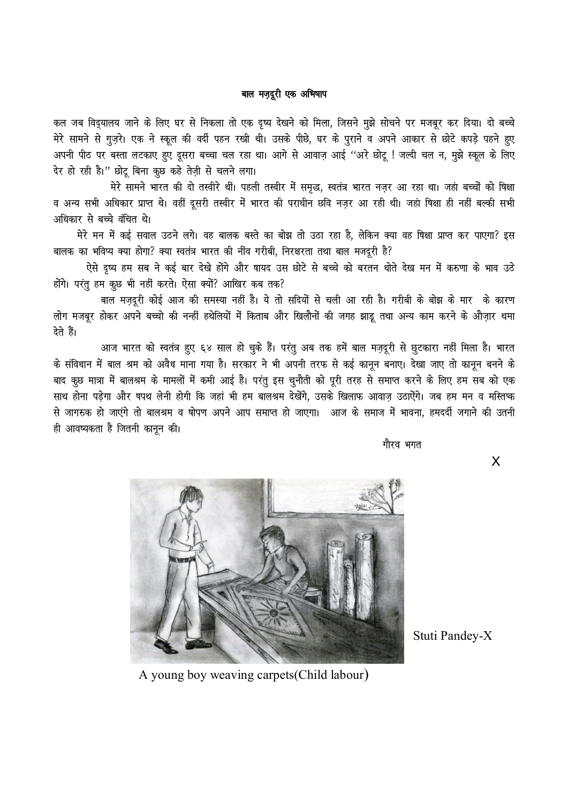#### बाल मज़दूरी एक अभिषाप

कल जब विद्यालय जाने के लिए घर से निकला तो एक दृष्य देखने को मिला, जिसने मुझे सोचने पर मजबूर कर दिया। दो बच्चे मेरे सामने से गुज़रे। एक ने स्कूल की वर्दी पहन रखी थी। उसके पीछे, घर के पुराने व अपने आकार से छोटे कपड़े पहने हुए अपनी पीठ पर बस्ता लटकाए हुए दूसरा बच्चा चल रहा था। आगे से आवाज़ आई ''अरे छोटू ! जल्दी चल न, मुझे स्कूल के लिए देर हो रही है।" छोटू बिना कुछ कहे तेज़ी से चलने लगा।

मेरे सामने भारत की दो तस्वीरे थीं। पहली तस्वीर में समृद्ध, स्वतंत्र भारत नज़र आ रहा था। जहां बच्चों को षिक्षा व अन्य सभी अधिकार प्राप्त थे। वहीं दुसरी तस्वीर में भारत की पराधीन छवि नजर आ रही थी। जहां षिक्षा ही नहीं बल्की सभी अधिकार से बच्चे वंचित थे।

मेरे मन में कई सवाल उठने लगे। वह बालक बस्ते का बोझ तो उठा रहा है, लेकिन क्या वह षिक्षा प्राप्त कर पाएगा? इस बालक का भविप्य क्या होगा? क्या स्वतंत्र भारत की नींव गरीबी, निरक्षरता तथा बाल मजदूरी है?

ऐसे दृष्य हम सब ने कई बार देखे होंगे और षायद उस छोटे से बच्चे को बरतन धोते देख मन में करुणा के भाव उठे होंगे। परंतु हम कुछ भी नहीं करते। ऐसा क्यों? आखिर कब तक?

बाल मज़दूरी कोई आज की समस्या नहीं है। ये तो सदियों से चली आ रही है। गरीबी के बोझ के मार के कारण लोग मजबूर होकर अपने बच्चो की नन्हीं हथेलियों में किताब और खिलौनों की जगह झाडू तथा अन्य काम करने के औज़ार थमा देते हैं।

आज भारत को स्वतंत्र हुए ६४ साल हो चुके हैं। परंतु अब तक हमें बाल मज़दूरी से छुटकारा नहीं मिला है। भारत के संविधान में बाल श्रम को अवैध माना गया है। सरकार ने भी अपनी तरफ से कई कानून बनाए। देखा जाए तो कानून बनने के बाद कूछ मात्रा में बालश्रम के मामलों में कमी आई है। परंतु इस चुनौती को पूरी तरह से समाप्त करने के लिए हम सब को एक साथ होना पड़ेगा और षपथ लेनी होगी कि जहां भी हम बालश्रम देखेंगे, उसके खिलाफ आवाज़ उठाऐंगे। जब हम मन व मस्तिप्क से जागरुक हो जाएंगे तो बालश्रम व षोपण अपने आप समाप्त हो जाएगा। आज के समाज में भावना, हमदर्दी जगाने की उतनी ही आवष्यकता है जितनी कानून की।

xkSjo Hkxr

**X** 



Stuti Pandey-X

A young boy weaving carpets(Child labour)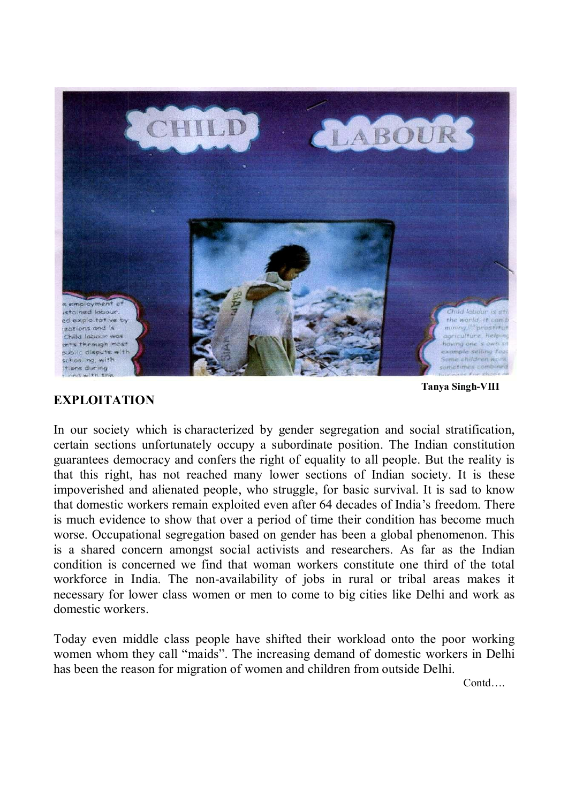

### **EXPLOITATION**

 **Tanya Singh-VIII** 

In our society which is characterized by gender segregation and social stratification, certain sections unfortunately occupy a subordinate position. The Indian constitution guarantees democracy and confers the right of equality to all people. But the reality is that this right, has not reached many lower sections of Indian society. It is these impoverished and alienated people, who struggle, for basic survival. It is sad to know that domestic workers remain exploited even after 64 decades of India's freedom. There is much evidence to show that over a period of time their condition has become much worse. Occupational segregation based on gender has been a global phenomenon. This is a shared concern amongst social activists and researchers. As far as the Indian condition is concerned we find that woman workers constitute one third of the total workforce in India. The non-availability of jobs in rural or tribal areas makes it necessary for lower class women or men to come to big cities like Delhi and work as domestic workers.

Today even middle class people have shifted their workload onto the poor working women whom they call "maids". The increasing demand of domestic workers in Delhi has been the reason for migration of women and children from outside Delhi.

*Contd....*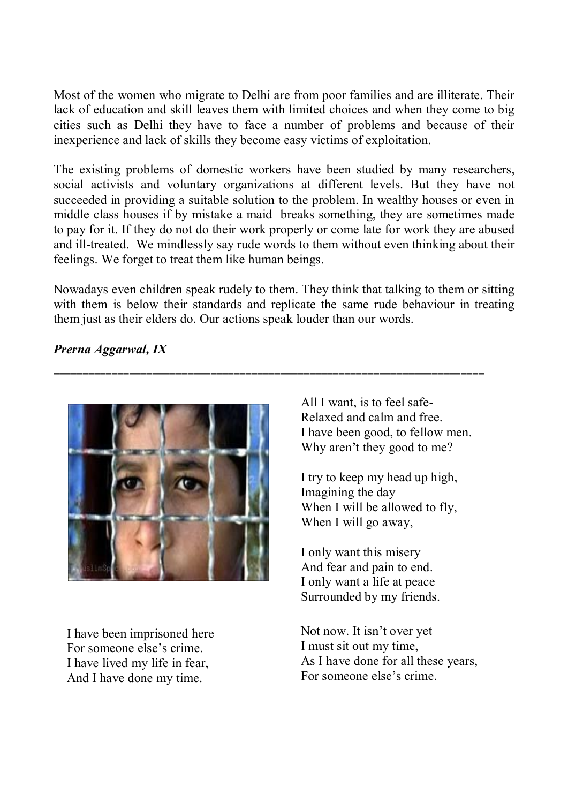Most of the women who migrate to Delhi are from poor families and are illiterate. Their lack of education and skill leaves them with limited choices and when they come to big cities such as Delhi they have to face a number of problems and because of their inexperience and lack of skills they become easy victims of exploitation.

The existing problems of domestic workers have been studied by many researchers, social activists and voluntary organizations at different levels. But they have not succeeded in providing a suitable solution to the problem. In wealthy houses or even in middle class houses if by mistake a maid breaks something, they are sometimes made to pay for it. If they do not do their work properly or come late for work they are abused and ill-treated. We mindlessly say rude words to them without even thinking about their feelings. We forget to treat them like human beings.

Nowadays even children speak rudely to them. They think that talking to them or sitting with them is below their standards and replicate the same rude behaviour in treating them just as their elders do. Our actions speak louder than our words.

**==========================================================================** 

# *Prerna Aggarwal, IX*



I have been imprisoned here For someone else's crime. I have lived my life in fear, And I have done my time.

All I want, is to feel safe-Relaxed and calm and free. I have been good, to fellow men. Why aren't they good to me?

I try to keep my head up high, Imagining the day When I will be allowed to fly, When I will go away,

I only want this misery And fear and pain to end. I only want a life at peace Surrounded by my friends.

Not now. It isn't over yet I must sit out my time, As I have done for all these years, For someone else's crime.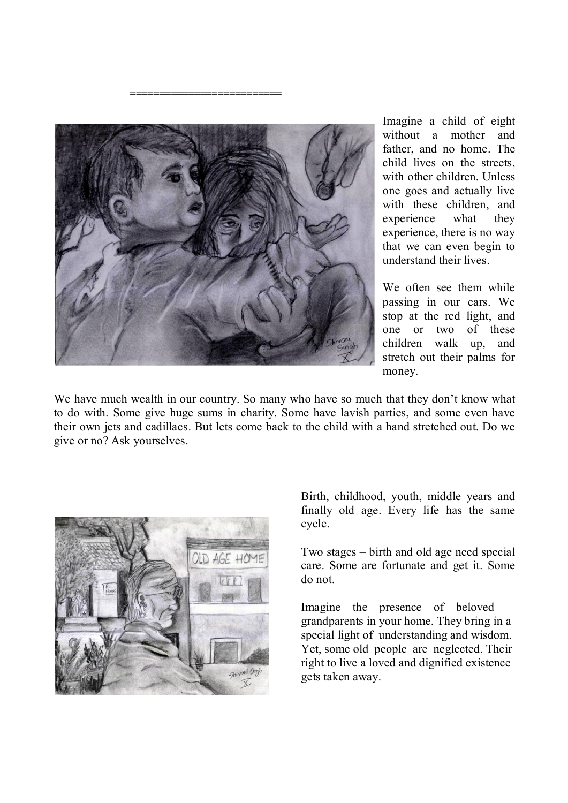

 **==========================** 

Imagine a child of eight without a mother and father, and no home. The child lives on the streets, with other children. Unless one goes and actually live with these children, and experience what they experience, there is no way that we can even begin to understand their lives.

We often see them while passing in our cars. We stop at the red light, and one or two of these children walk up, and stretch out their palms for money.

We have much wealth in our country. So many who have so much that they don't know what to do with. Some give huge sums in charity. Some have lavish parties, and some even have their own jets and cadillacs. But lets come back to the child with a hand stretched out. Do we give or no? Ask yourselves.



Birth, childhood, youth, middle years and finally old age. Every life has the same cycle.

Two stages – birth and old age need special care. Some are fortunate and get it. Some do not.

Imagine the presence of beloved grandparents in your home. They bring in a special light of understanding and wisdom. Yet, some old people are neglected. Their right to live a loved and dignified existence gets taken away.